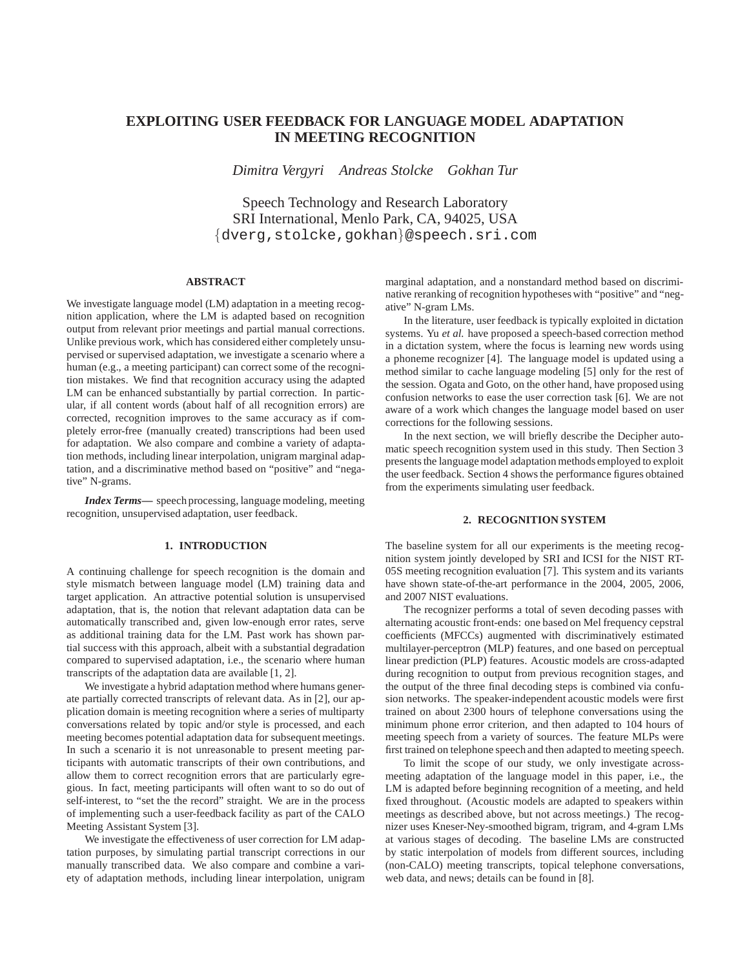# **EXPLOITING USER FEEDBACK FOR LANGUAGE MODEL ADAPTATION IN MEETING RECOGNITION**

*Dimitra Vergyri Andreas Stolcke Gokhan Tur*

Speech Technology and Research Laboratory SRI International, Menlo Park, CA, 94025, USA {dverg, stolcke, gokhan}@speech.sri.com

# **ABSTRACT**

We investigate language model (LM) adaptation in a meeting recognition application, where the LM is adapted based on recognition output from relevant prior meetings and partial manual corrections. Unlike previous work, which has considered either completely unsupervised or supervised adaptation, we investigate a scenario where a human (e.g., a meeting participant) can correct some of the recognition mistakes. We find that recognition accuracy using the adapted LM can be enhanced substantially by partial correction. In particular, if all content words (about half of all recognition errors) are corrected, recognition improves to the same accuracy as if completely error-free (manually created) transcriptions had been used for adaptation. We also compare and combine a variety of adaptation methods, including linear interpolation, unigram marginal adaptation, and a discriminative method based on "positive" and "negative" N-grams.

*Index Terms***—** speech processing, language modeling, meeting recognition, unsupervised adaptation, user feedback.

## **1. INTRODUCTION**

A continuing challenge for speech recognition is the domain and style mismatch between language model (LM) training data and target application. An attractive potential solution is unsupervised adaptation, that is, the notion that relevant adaptation data can be automatically transcribed and, given low-enough error rates, serve as additional training data for the LM. Past work has shown partial success with this approach, albeit with a substantial degradation compared to supervised adaptation, i.e., the scenario where human transcripts of the adaptation data are available [1, 2].

We investigate a hybrid adaptation method where humans generate partially corrected transcripts of relevant data. As in [2], our application domain is meeting recognition where a series of multiparty conversations related by topic and/or style is processed, and each meeting becomes potential adaptation data for subsequent meetings. In such a scenario it is not unreasonable to present meeting participants with automatic transcripts of their own contributions, and allow them to correct recognition errors that are particularly egregious. In fact, meeting participants will often want to so do out of self-interest, to "set the the record" straight. We are in the process of implementing such a user-feedback facility as part of the CALO Meeting Assistant System [3].

We investigate the effectiveness of user correction for LM adaptation purposes, by simulating partial transcript corrections in our manually transcribed data. We also compare and combine a variety of adaptation methods, including linear interpolation, unigram marginal adaptation, and a nonstandard method based on discriminative reranking of recognition hypotheses with "positive" and "negative" N-gram LMs.

In the literature, user feedback is typically exploited in dictation systems. Yu *et al.* have proposed a speech-based correction method in a dictation system, where the focus is learning new words using a phoneme recognizer [4]. The language model is updated using a method similar to cache language modeling [5] only for the rest of the session. Ogata and Goto, on the other hand, have proposed using confusion networks to ease the user correction task [6]. We are not aware of a work which changes the language model based on user corrections for the following sessions.

In the next section, we will briefly describe the Decipher automatic speech recognition system used in this study. Then Section 3 presents the language model adaptation methods employed to exploit the user feedback. Section 4 shows the performance figures obtained from the experiments simulating user feedback.

## **2. RECOGNITION SYSTEM**

The baseline system for all our experiments is the meeting recognition system jointly developed by SRI and ICSI for the NIST RT-05S meeting recognition evaluation [7]. This system and its variants have shown state-of-the-art performance in the 2004, 2005, 2006, and 2007 NIST evaluations.

The recognizer performs a total of seven decoding passes with alternating acoustic front-ends: one based on Mel frequency cepstral coefficients (MFCCs) augmented with discriminatively estimated multilayer-perceptron (MLP) features, and one based on perceptual linear prediction (PLP) features. Acoustic models are cross-adapted during recognition to output from previous recognition stages, and the output of the three final decoding steps is combined via confusion networks. The speaker-independent acoustic models were first trained on about 2300 hours of telephone conversations using the minimum phone error criterion, and then adapted to 104 hours of meeting speech from a variety of sources. The feature MLPs were first trained on telephone speech and then adapted to meeting speech.

To limit the scope of our study, we only investigate acrossmeeting adaptation of the language model in this paper, i.e., the LM is adapted before beginning recognition of a meeting, and held fixed throughout. (Acoustic models are adapted to speakers within meetings as described above, but not across meetings.) The recognizer uses Kneser-Ney-smoothed bigram, trigram, and 4-gram LMs at various stages of decoding. The baseline LMs are constructed by static interpolation of models from different sources, including (non-CALO) meeting transcripts, topical telephone conversations, web data, and news; details can be found in [8].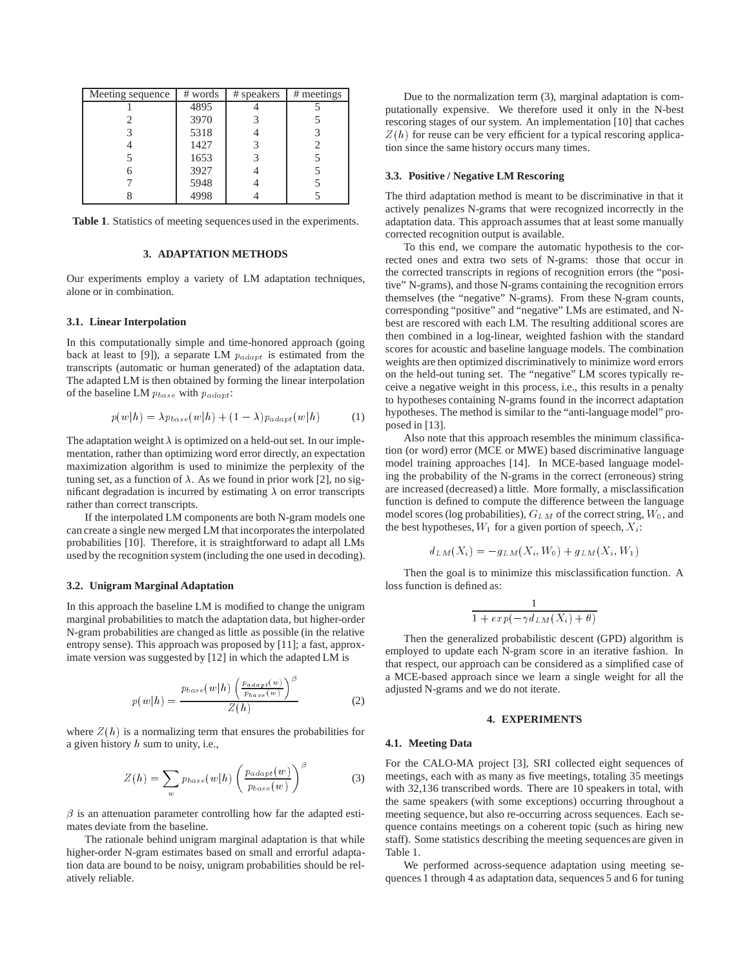| Meeting sequence | # words | # speakers | $#$ meetings |  |
|------------------|---------|------------|--------------|--|
|                  | 4895    |            |              |  |
|                  | 3970    |            |              |  |
|                  | 5318    |            |              |  |
|                  | 1427    |            |              |  |
|                  | 1653    |            |              |  |
|                  | 3927    |            |              |  |
|                  | 5948    |            |              |  |
|                  | 4998    |            |              |  |

**Table 1**. Statistics of meeting sequences used in the experiments.

## **3. ADAPTATION METHODS**

Our experiments employ a variety of LM adaptation techniques, alone or in combination.

#### **3.1. Linear Interpolation**

In this computationally simple and time-honored approach (going back at least to [9]), a separate LM  $p_{adapt}$  is estimated from the transcripts (automatic or human generated) of the adaptation data. The adapted LM is then obtained by forming the linear interpolation of the baseline LM  $p_{base}$  with  $p_{adapt}$ :

$$
p(w|h) = \lambda p_{base}(w|h) + (1 - \lambda) p_{adapt}(w|h)
$$
 (1)

The adaptation weight  $\lambda$  is optimized on a held-out set. In our implementation, rather than optimizing word error directly, an expectation maximization algorithm is used to minimize the perplexity of the tuning set, as a function of  $\lambda$ . As we found in prior work [2], no significant degradation is incurred by estimating  $\lambda$  on error transcripts rather than correct transcripts.

If the interpolated LM components are both N-gram models one can create a single new merged LM that incorporates the interpolated probabilities [10]. Therefore, it is straightforward to adapt all LMs used by the recognition system (including the one used in decoding).

#### **3.2. Unigram Marginal Adaptation**

In this approach the baseline LM is modified to change the unigram marginal probabilities to match the adaptation data, but higher-order N-gram probabilities are changed as little as possible (in the relative entropy sense). This approach was proposed by [11]; a fast, approximate version was suggested by [12] in which the adapted LM is

$$
p(w|h) = \frac{p_{base}(w|h) \left(\frac{p_{adapt}(w)}{p_{base}(w)}\right)^p}{Z(h)}
$$
(2)

 $\sim$   $\sigma$ 

 $\mathcal{L}$ 

where  $Z(h)$  is a normalizing term that ensures the probabilities for a given history  $h$  sum to unity, i.e.,

$$
Z(h) = \sum_{w} p_{base}(w|h) \left(\frac{p_{adapt}(w)}{p_{base}(w)}\right)^{\beta}
$$
 (3)

 $\beta$  is an attenuation parameter controlling how far the adapted estimates deviate from the baseline.

The rationale behind unigram marginal adaptation is that while higher-order N-gram estimates based on small and errorful adaptation data are bound to be noisy, unigram probabilities should be relatively reliable.

Due to the normalization term (3), marginal adaptation is computationally expensive. We therefore used it only in the N-best rescoring stages of our system. An implementation [10] that caches  $Z(h)$  for reuse can be very efficient for a typical rescoring application since the same history occurs many times.

#### **3.3. Positive / Negative LM Rescoring**

The third adaptation method is meant to be discriminative in that it actively penalizes N-grams that were recognized incorrectly in the adaptation data. This approach assumes that at least some manually corrected recognition output is available.

To this end, we compare the automatic hypothesis to the corrected ones and extra two sets of N-grams: those that occur in the corrected transcripts in regions of recognition errors (the "positive" N-grams), and those N-grams containing the recognition errors themselves (the "negative" N-grams). From these N-gram counts, corresponding "positive" and "negative" LMs are estimated, and Nbest are rescored with each LM. The resulting additional scores are then combined in a log-linear, weighted fashion with the standard scores for acoustic and baseline language models. The combination weights are then optimized discriminatively to minimize word errors on the held-out tuning set. The "negative" LM scores typically receive a negative weight in this process, i.e., this results in a penalty to hypotheses containing N-grams found in the incorrect adaptation hypotheses. The method is similar to the "anti-language model" proposed in [13].

Also note that this approach resembles the minimum classification (or word) error (MCE or MWE) based discriminative language model training approaches [14]. In MCE-based language modeling the probability of the N-grams in the correct (erroneous) string are increased (decreased) a little. More formally, a misclassification function is defined to compute the difference between the language model scores (log probabilities),  $G_{LM}$  of the correct string,  $W_0$ , and the best hypotheses,  $W_1$  for a given portion of speech,  $X_i$ :

$$
d_{LM}(X_i) = -g_{LM}(X_i, W_0) + g_{LM}(X_i, W_1)
$$

Then the goal is to minimize this misclassification function. A loss function is defined as:

$$
\frac{1}{1 + exp(-\gamma d_{LM}(X_i) + \theta)}
$$

Then the generalized probabilistic descent (GPD) algorithm is employed to update each N-gram score in an iterative fashion. In that respect, our approach can be considered as a simplified case of a MCE-based approach since we learn a single weight for all the adjusted N-grams and we do not iterate.

## **4. EXPERIMENTS**

#### **4.1. Meeting Data**

For the CALO-MA project [3], SRI collected eight sequences of meetings, each with as many as five meetings, totaling 35 meetings with 32,136 transcribed words. There are 10 speakers in total, with the same speakers (with some exceptions) occurring throughout a meeting sequence, but also re-occurring across sequences. Each sequence contains meetings on a coherent topic (such as hiring new staff). Some statistics describing the meeting sequences are given in Table 1.

We performed across-sequence adaptation using meeting sequences 1 through 4 as adaptation data, sequences 5 and 6 for tuning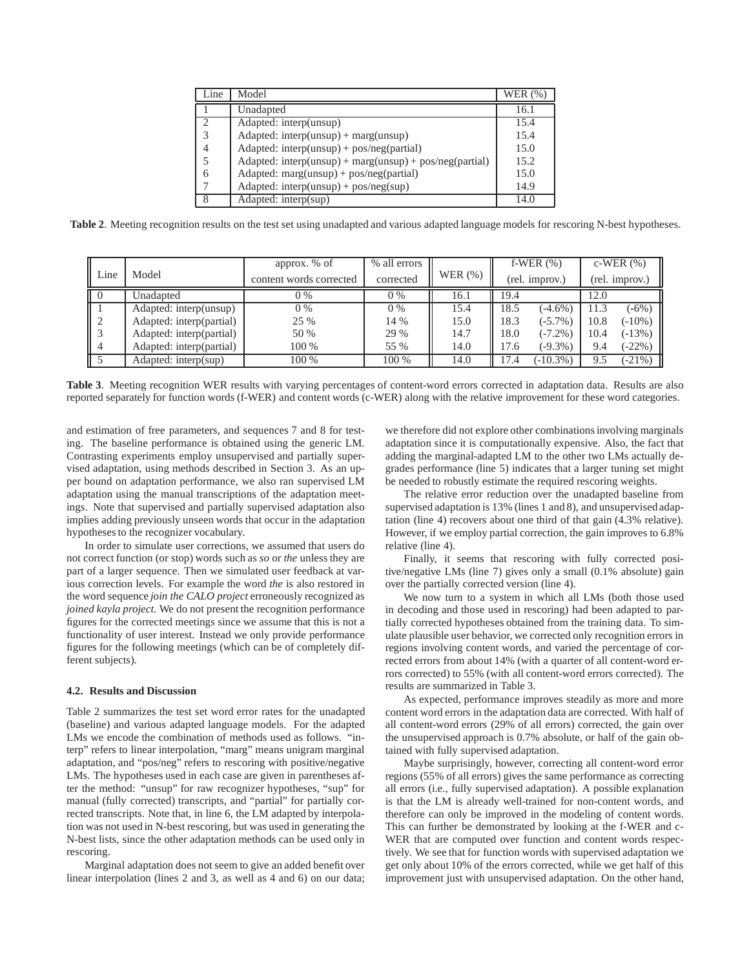| Line           | Model                                                      | WER $(%$ |
|----------------|------------------------------------------------------------|----------|
|                | Unadapted                                                  | 16.1     |
| $\mathcal{D}$  | Adapted: interp(unsup)                                     | 15.4     |
| 3              | Adapted: $interp(unsup) + marg(unsup))$                    | 15.4     |
| $\overline{4}$ | Adapted: $interp(unsup) + pos/neg(partial)$                | 15.0     |
| 5              | Adapted: $interp(unsup) + marg(unsup) + pos/neg(partial))$ | 15.2     |
| 6              | Adapted: $marg(unsup) + pos/neg(partial))$                 | 15.0     |
|                | Adapted: $interp(unsup) + pos/neg(sup)$                    | 14.9     |
| 8              | Adapted: interp(sup)                                       | 14.0     |

**Table 2**. Meeting recognition results on the test set using unadapted and various adapted language models for rescoring N-best hypotheses.

| Line<br>Model | approx. % of                              | % all errors<br>WER $(\% )$<br>corrected |       | f-WER $(\%)$   |      | c-WER $(%)$    |      |            |
|---------------|-------------------------------------------|------------------------------------------|-------|----------------|------|----------------|------|------------|
|               | content words corrected                   |                                          |       | (rel. improv.) |      | (rel. improv.) |      |            |
| $\Box$        | Unadapted                                 | $0\%$                                    | $0\%$ | 16.1           | 19.4 |                | 12.0 |            |
|               | Adapted: interp(unsup)                    | $0\%$                                    | $0\%$ | 15.4           | 18.5 | $(-4.6\%)$     | 11.3 | $(-6%)$    |
|               | Adapted: interp(partial)                  | 25 %                                     | 14 %  | 15.0           | 18.3 | $(-5.7\%)$     | 10.8 | $( -10\%)$ |
|               | Adapted: interp(partial)                  | 50 %                                     | 29 %  | 14.7           | 18.0 | $(-7.2\%)$     | 10.4 | $(-13%)$   |
|               | Adapted: interp(partial)                  | 100 %                                    | 55 %  | 14.0           | 17.6 | $(-9.3\%)$     | 9.4  | $-22\%$ )  |
|               | $\overline{\text{Adapted}}$ : interp(sup) | 100 %                                    | 100 % | 14.0           | 17.4 | $(-10.3\%)$    | 9.5  | $-21\%$ )  |

**Table 3**. Meeting recognition WER results with varying percentages of content-word errors corrected in adaptation data. Results are also reported separately for function words (f-WER) and content words (c-WER) along with the relative improvement for these word categories.

and estimation of free parameters, and sequences 7 and 8 for testing. The baseline performance is obtained using the generic LM. Contrasting experiments employ unsupervised and partially supervised adaptation, using methods described in Section 3. As an upper bound on adaptation performance, we also ran supervised LM adaptation using the manual transcriptions of the adaptation meetings. Note that supervised and partially supervised adaptation also implies adding previously unseen words that occur in the adaptation hypotheses to the recognizer vocabulary.

In order to simulate user corrections, we assumed that users do not correct function (or stop) words such as *so* or *the* unless they are part of a larger sequence. Then we simulated user feedback at various correction levels. For example the word *the* is also restored in the word sequence *join the CALO project* erroneously recognized as *joined kayla project*. We do not present the recognition performance figures for the corrected meetings since we assume that this is not a functionality of user interest. Instead we only provide performance figures for the following meetings (which can be of completely different subjects).

## **4.2. Results and Discussion**

Table 2 summarizes the test set word error rates for the unadapted (baseline) and various adapted language models. For the adapted LMs we encode the combination of methods used as follows. "interp" refers to linear interpolation, "marg" means unigram marginal adaptation, and "pos/neg" refers to rescoring with positive/negative LMs. The hypotheses used in each case are given in parentheses after the method: "unsup" for raw recognizer hypotheses, "sup" for manual (fully corrected) transcripts, and "partial" for partially corrected transcripts. Note that, in line 6, the LM adapted by interpolation was not used in N-best rescoring, but was used in generating the N-best lists, since the other adaptation methods can be used only in rescoring.

Marginal adaptation does not seem to give an added benefit over linear interpolation (lines 2 and 3, as well as 4 and 6) on our data; we therefore did not explore other combinations involving marginals adaptation since it is computationally expensive. Also, the fact that adding the marginal-adapted LM to the other two LMs actually degrades performance (line 5) indicates that a larger tuning set might be needed to robustly estimate the required rescoring weights.

The relative error reduction over the unadapted baseline from supervised adaptation is 13% (lines 1 and 8), and unsupervised adaptation (line 4) recovers about one third of that gain (4.3% relative). However, if we employ partial correction, the gain improves to 6.8% relative (line 4).

Finally, it seems that rescoring with fully corrected positive/negative LMs (line 7) gives only a small (0.1% absolute) gain over the partially corrected version (line 4).

We now turn to a system in which all LMs (both those used in decoding and those used in rescoring) had been adapted to partially corrected hypotheses obtained from the training data. To simulate plausible user behavior, we corrected only recognition errors in regions involving content words, and varied the percentage of corrected errors from about 14% (with a quarter of all content-word errors corrected) to 55% (with all content-word errors corrected). The results are summarized in Table 3.

As expected, performance improves steadily as more and more content word errors in the adaptation data are corrected. With half of all content-word errors (29% of all errors) corrected, the gain over the unsupervised approach is 0.7% absolute, or half of the gain obtained with fully supervised adaptation.

Maybe surprisingly, however, correcting all content-word error regions (55% of all errors) gives the same performance as correcting all errors (i.e., fully supervised adaptation). A possible explanation is that the LM is already well-trained for non-content words, and therefore can only be improved in the modeling of content words. This can further be demonstrated by looking at the f-WER and c-WER that are computed over function and content words respectively. We see that for function words with supervised adaptation we get only about 10% of the errors corrected, while we get half of this improvement just with unsupervised adaptation. On the other hand,